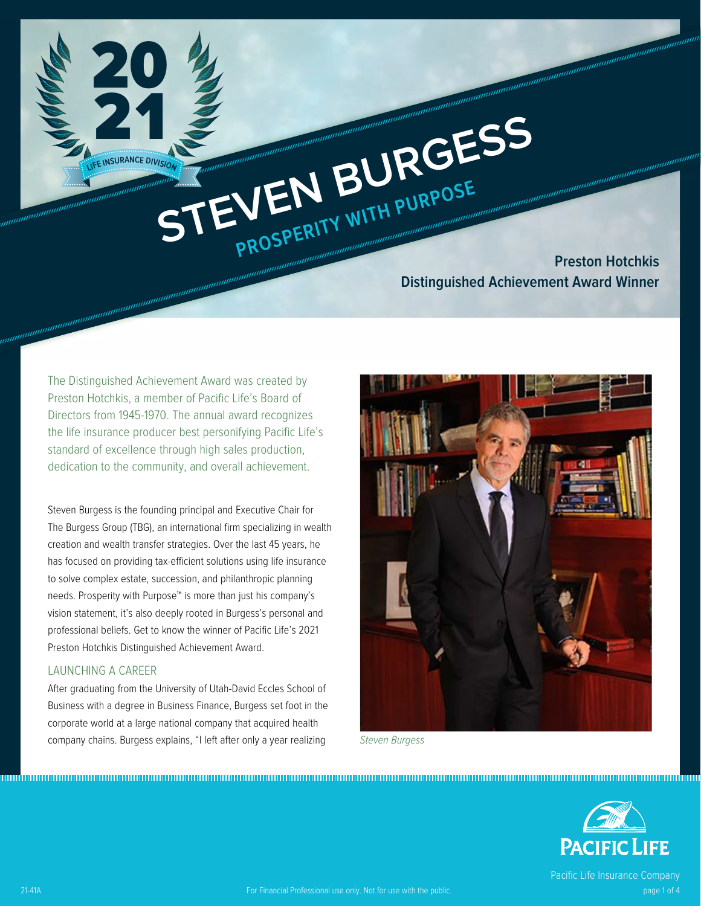**STEVEN BURGESS PROSPERITY WITH PURPOSE Preston Hotchkis Distinguished Achievement Award Winner**

The Distinguished Achievement Award was created by Preston Hotchkis, a member of Pacific Life's Board of Directors from 1945-1970. The annual award recognizes the life insurance producer best personifying Pacific Life's standard of excellence through high sales production, dedication to the community, and overall achievement.

**<sup>L</sup>IF<sup>E</sup> <sup>I</sup>NSURANC<sup>E</sup> <sup>D</sup>IVISIO<sup>N</sup>**

21

20

Steven Burgess is the founding principal and Executive Chair for The Burgess Group (TBG), an international firm specializing in wealth creation and wealth transfer strategies. Over the last 45 years, he has focused on providing tax-efficient solutions using life insurance to solve complex estate, succession, and philanthropic planning needs. Prosperity with Purpose™ is more than just his company's vision statement, it's also deeply rooted in Burgess's personal and professional beliefs. Get to know the winner of Pacific Life's 2021 Preston Hotchkis Distinguished Achievement Award.

#### LAUNCHING A CAREER

After graduating from the University of Utah-David Eccles School of Business with a degree in Business Finance, Burgess set foot in the corporate world at a large national company that acquired health company chains. Burgess explains, "I left after only a year realizing



Steven Burgess



www.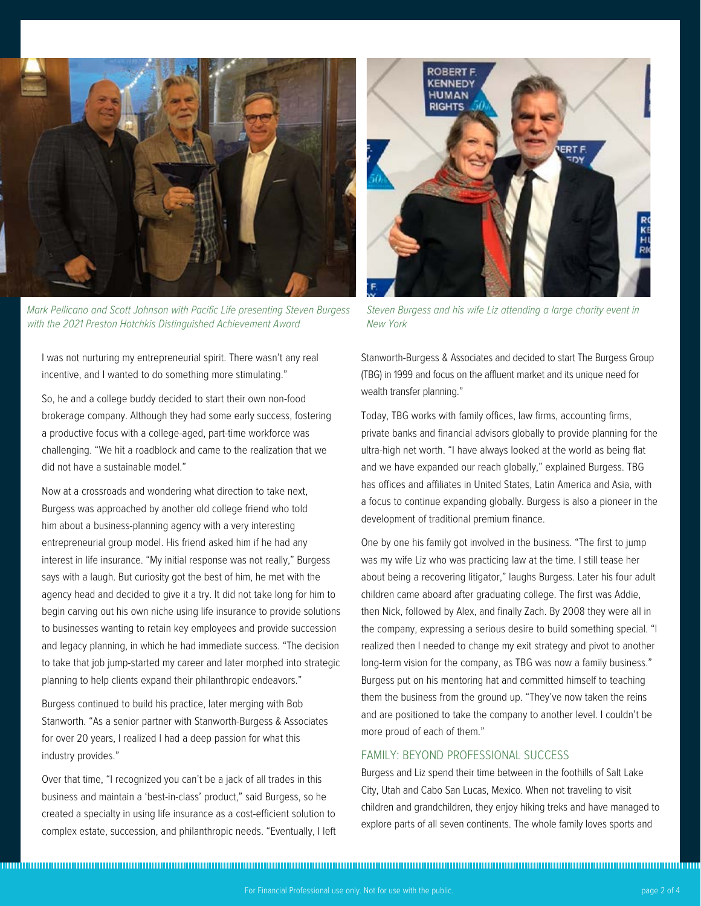

Mark Pellicano and Scott Johnson with Pacific Life presenting Steven Burgess with the 2021 Preston Hotchkis Distinguished Achievement Award

I was not nurturing my entrepreneurial spirit. There wasn't any real incentive, and I wanted to do something more stimulating."

So, he and a college buddy decided to start their own non-food brokerage company. Although they had some early success, fostering a productive focus with a college-aged, part-time workforce was challenging. "We hit a roadblock and came to the realization that we did not have a sustainable model."

Now at a crossroads and wondering what direction to take next, Burgess was approached by another old college friend who told him about a business-planning agency with a very interesting entrepreneurial group model. His friend asked him if he had any interest in life insurance. "My initial response was not really," Burgess says with a laugh. But curiosity got the best of him, he met with the agency head and decided to give it a try. It did not take long for him to begin carving out his own niche using life insurance to provide solutions to businesses wanting to retain key employees and provide succession and legacy planning, in which he had immediate success. "The decision to take that job jump-started my career and later morphed into strategic planning to help clients expand their philanthropic endeavors."

Burgess continued to build his practice, later merging with Bob Stanworth. "As a senior partner with Stanworth-Burgess & Associates for over 20 years, I realized I had a deep passion for what this industry provides."

Over that time, "I recognized you can't be a jack of all trades in this business and maintain a 'best-in-class' product," said Burgess, so he created a specialty in using life insurance as a cost-efficient solution to complex estate, succession, and philanthropic needs. "Eventually, I left



Steven Burgess and his wife Liz attending a large charity event in New York

Stanworth-Burgess & Associates and decided to start The Burgess Group (TBG) in 1999 and focus on the affluent market and its unique need for wealth transfer planning."

Today, TBG works with family offices, law firms, accounting firms, private banks and financial advisors globally to provide planning for the ultra-high net worth. "I have always looked at the world as being flat and we have expanded our reach globally," explained Burgess. TBG has offices and affiliates in United States, Latin America and Asia, with a focus to continue expanding globally. Burgess is also a pioneer in the development of traditional premium finance.

One by one his family got involved in the business. "The first to jump was my wife Liz who was practicing law at the time. I still tease her about being a recovering litigator," laughs Burgess. Later his four adult children came aboard after graduating college. The first was Addie, then Nick, followed by Alex, and finally Zach. By 2008 they were all in the company, expressing a serious desire to build something special. "I realized then I needed to change my exit strategy and pivot to another long-term vision for the company, as TBG was now a family business." Burgess put on his mentoring hat and committed himself to teaching them the business from the ground up. "They've now taken the reins and are positioned to take the company to another level. I couldn't be more proud of each of them."

## FAMILY: BEYOND PROFESSIONAL SUCCESS

Burgess and Liz spend their time between in the foothills of Salt Lake City, Utah and Cabo San Lucas, Mexico. When not traveling to visit children and grandchildren, they enjoy hiking treks and have managed to explore parts of all seven continents. The whole family loves sports and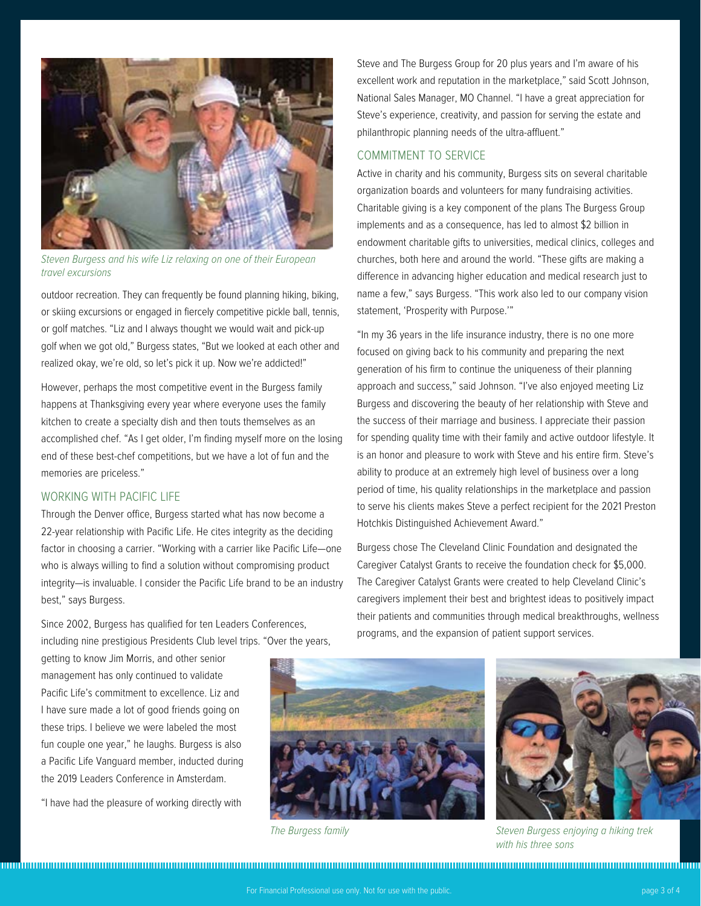

Steven Burgess and his wife Liz relaxing on one of their European travel excursions

outdoor recreation. They can frequently be found planning hiking, biking, or skiing excursions or engaged in fiercely competitive pickle ball, tennis, or golf matches. "Liz and I always thought we would wait and pick-up golf when we got old," Burgess states, "But we looked at each other and realized okay, we're old, so let's pick it up. Now we're addicted!"

However, perhaps the most competitive event in the Burgess family happens at Thanksgiving every year where everyone uses the family kitchen to create a specialty dish and then touts themselves as an accomplished chef. "As I get older, I'm finding myself more on the losing end of these best-chef competitions, but we have a lot of fun and the memories are priceless."

## WORKING WITH PACIFIC LIFE

Through the Denver office, Burgess started what has now become a 22-year relationship with Pacific Life. He cites integrity as the deciding factor in choosing a carrier. "Working with a carrier like Pacific Life—one who is always willing to find a solution without compromising product integrity—is invaluable. I consider the Pacific Life brand to be an industry best," says Burgess.

Since 2002, Burgess has qualified for ten Leaders Conferences, including nine prestigious Presidents Club level trips. "Over the years, Steve and The Burgess Group for 20 plus years and I'm aware of his excellent work and reputation in the marketplace," said Scott Johnson, National Sales Manager, MO Channel. "I have a great appreciation for Steve's experience, creativity, and passion for serving the estate and philanthropic planning needs of the ultra-affluent."

#### COMMITMENT TO SERVICE

Active in charity and his community, Burgess sits on several charitable organization boards and volunteers for many fundraising activities. Charitable giving is a key component of the plans The Burgess Group implements and as a consequence, has led to almost \$2 billion in endowment charitable gifts to universities, medical clinics, colleges and churches, both here and around the world. "These gifts are making a difference in advancing higher education and medical research just to name a few," says Burgess. "This work also led to our company vision statement, 'Prosperity with Purpose.'"

"In my 36 years in the life insurance industry, there is no one more focused on giving back to his community and preparing the next generation of his firm to continue the uniqueness of their planning approach and success," said Johnson. "I've also enjoyed meeting Liz Burgess and discovering the beauty of her relationship with Steve and the success of their marriage and business. I appreciate their passion for spending quality time with their family and active outdoor lifestyle. It is an honor and pleasure to work with Steve and his entire firm. Steve's ability to produce at an extremely high level of business over a long period of time, his quality relationships in the marketplace and passion to serve his clients makes Steve a perfect recipient for the 2021 Preston Hotchkis Distinguished Achievement Award."

Burgess chose The Cleveland Clinic Foundation and designated the Caregiver Catalyst Grants to receive the foundation check for \$5,000. The Caregiver Catalyst Grants were created to help Cleveland Clinic's caregivers implement their best and brightest ideas to positively impact their patients and communities through medical breakthroughs, wellness programs, and the expansion of patient support services.

getting to know Jim Morris, and other senior management has only continued to validate Pacific Life's commitment to excellence. Liz and I have sure made a lot of good friends going on these trips. I believe we were labeled the most fun couple one year," he laughs. Burgess is also a Pacific Life Vanguard member, inducted during the 2019 Leaders Conference in Amsterdam.

"I have had the pleasure of working directly with





The Burgess family The Burgess enjoying a hiking trek with his three sons